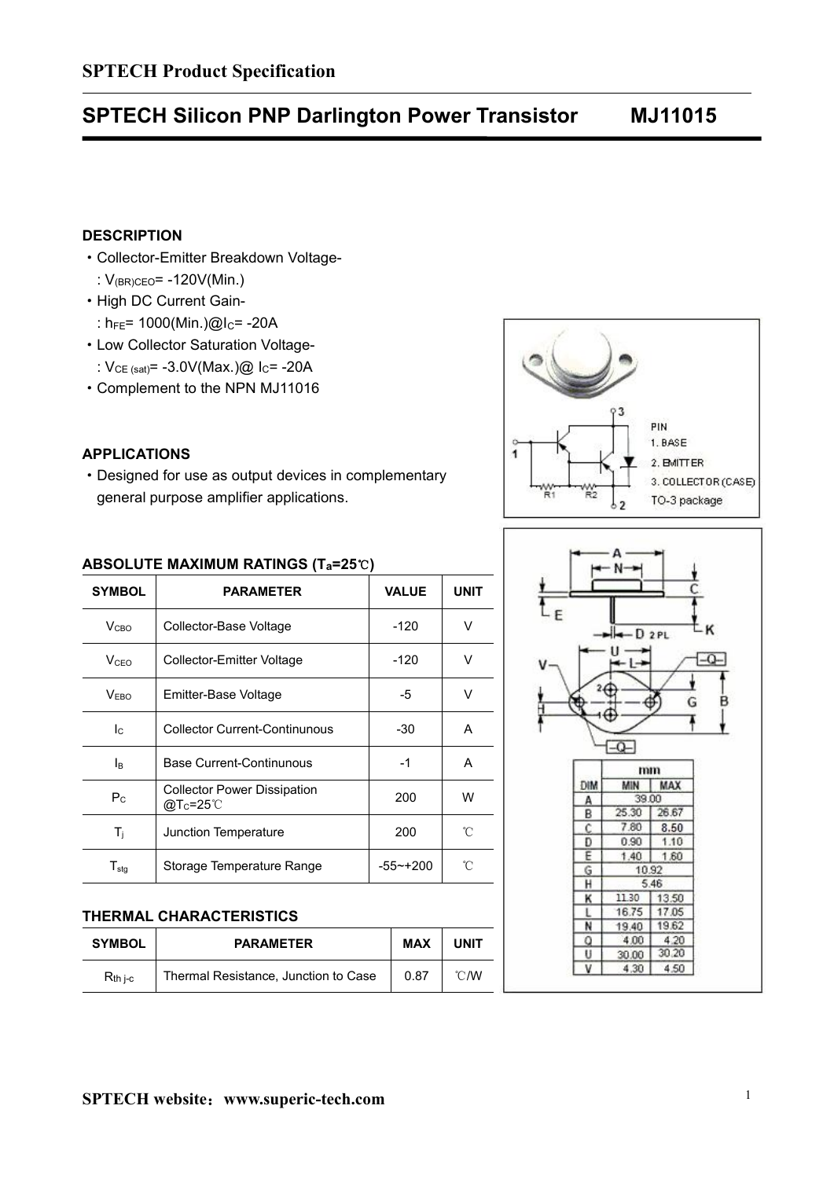## **SPTECH Silicon PNP Darlington Power Transistor MJ11015**

## **DESCRIPTION**

- ·Collector-Emitter Breakdown Voltage-
	- : V(BR)CEO= -120V(Min.)
- ·High DC Current Gain-
	- :  $h_{FE}$ = 1000(Min.)@I<sub>C</sub>= -20A
- ·Low Collector Saturation Voltage-
	- :  $V_{CE (sat)} = -3.0V(Max.)$ @ I<sub>C</sub>= -20A
- ·Complement to the NPN MJ11016

## **APPLICATIONS**

·Designed for use as output devices in complementary general purpose amplifier applications.





### **ABSOLUTE MAXIMUM RATINGS (Ta=25**℃**)**

| <b>SYMBOL</b>              | <b>PARAMETER</b>                                       | <b>VALUE</b> | <b>UNIT</b> |   |          |              |              |
|----------------------------|--------------------------------------------------------|--------------|-------------|---|----------|--------------|--------------|
| V <sub>CBO</sub>           | Collector-Base Voltage                                 | $-120$       | $\vee$      | Æ |          | $H - D 2PL$  |              |
| <b>V</b> <sub>CEO</sub>    | Collector-Emitter Voltage                              | $-120$       | v           |   |          | - L—≫        |              |
| V <sub>EBO</sub>           | Emitter-Base Voltage                                   | -5           | $\vee$      |   |          |              |              |
| Ic                         | <b>Collector Current-Continunous</b>                   | $-30$        | A           |   |          |              |              |
| Iв                         | <b>Base Current-Continunous</b>                        | $-1$         | A           |   |          | mm           |              |
| $P_{\rm C}$                | <b>Collector Power Dissipation</b><br>$@Tc=25^{\circ}$ | 200          | W           |   | DIM<br>А | MIN<br>39.00 | <b>MAX</b>   |
|                            |                                                        |              |             |   | B        | 25.30        | 26.67        |
| $T_j$                      | Junction Temperature                                   | 200          | °C          |   | Ċ<br>Ð   | 7.80<br>0.90 | 8.50<br>1.10 |
|                            |                                                        |              |             |   | Ε        | 1.40         | 1.60         |
| ${\mathsf T}_{\text{stg}}$ | Storage Temperature Range                              | $-55$ ~+200  | °C          |   | G        |              | 10.92        |

#### **THERMAL CHARACTERISTICS**

|               |                                      |            |      |  |       | <b><i>B. Mart Charles Co.</i></b> |  |
|---------------|--------------------------------------|------------|------|--|-------|-----------------------------------|--|
| <b>SYMBOL</b> | <b>PARAMETER</b>                     | <b>MAX</b> | UNIT |  | 4.0   | 4.20                              |  |
|               |                                      |            |      |  | 30.00 | 30.20                             |  |
| $R_{th}$ i-c  | Thermal Resistance, Junction to Case | 0.87       | °C/W |  | 4.30  | 4.50                              |  |
|               |                                      |            |      |  |       |                                   |  |